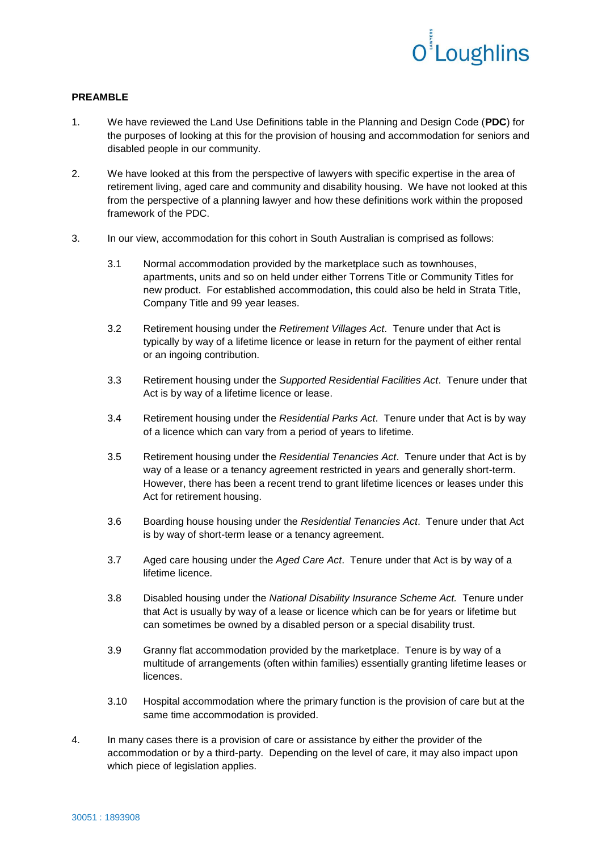

## **PREAMBLE**

- 1. We have reviewed the Land Use Definitions table in the Planning and Design Code (**PDC**) for the purposes of looking at this for the provision of housing and accommodation for seniors and disabled people in our community.
- 2. We have looked at this from the perspective of lawyers with specific expertise in the area of retirement living, aged care and community and disability housing. We have not looked at this from the perspective of a planning lawyer and how these definitions work within the proposed framework of the PDC.
- 3. In our view, accommodation for this cohort in South Australian is comprised as follows:
	- 3.1 Normal accommodation provided by the marketplace such as townhouses, apartments, units and so on held under either Torrens Title or Community Titles for new product. For established accommodation, this could also be held in Strata Title, Company Title and 99 year leases.
	- 3.2 Retirement housing under the *Retirement Villages Act*. Tenure under that Act is typically by way of a lifetime licence or lease in return for the payment of either rental or an ingoing contribution.
	- 3.3 Retirement housing under the *Supported Residential Facilities Act*. Tenure under that Act is by way of a lifetime licence or lease.
	- 3.4 Retirement housing under the *Residential Parks Act*. Tenure under that Act is by way of a licence which can vary from a period of years to lifetime.
	- 3.5 Retirement housing under the *Residential Tenancies Act*. Tenure under that Act is by way of a lease or a tenancy agreement restricted in years and generally short-term. However, there has been a recent trend to grant lifetime licences or leases under this Act for retirement housing.
	- 3.6 Boarding house housing under the *Residential Tenancies Act*. Tenure under that Act is by way of short-term lease or a tenancy agreement.
	- 3.7 Aged care housing under the *Aged Care Act*. Tenure under that Act is by way of a lifetime licence.
	- 3.8 Disabled housing under the *National Disability Insurance Scheme Act.* Tenure under that Act is usually by way of a lease or licence which can be for years or lifetime but can sometimes be owned by a disabled person or a special disability trust.
	- 3.9 Granny flat accommodation provided by the marketplace. Tenure is by way of a multitude of arrangements (often within families) essentially granting lifetime leases or licences.
	- 3.10 Hospital accommodation where the primary function is the provision of care but at the same time accommodation is provided.
- 4. In many cases there is a provision of care or assistance by either the provider of the accommodation or by a third-party. Depending on the level of care, it may also impact upon which piece of legislation applies.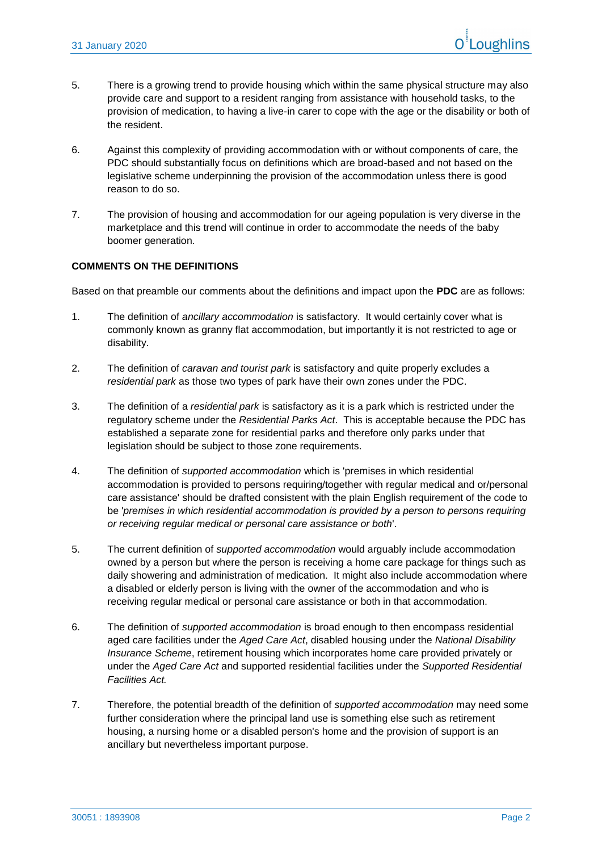- 5. There is a growing trend to provide housing which within the same physical structure may also provide care and support to a resident ranging from assistance with household tasks, to the provision of medication, to having a live-in carer to cope with the age or the disability or both of the resident.
- 6. Against this complexity of providing accommodation with or without components of care, the PDC should substantially focus on definitions which are broad-based and not based on the legislative scheme underpinning the provision of the accommodation unless there is good reason to do so.
- 7. The provision of housing and accommodation for our ageing population is very diverse in the marketplace and this trend will continue in order to accommodate the needs of the baby boomer generation.

## **COMMENTS ON THE DEFINITIONS**

Based on that preamble our comments about the definitions and impact upon the **PDC** are as follows:

- 1. The definition of *ancillary accommodation* is satisfactory. It would certainly cover what is commonly known as granny flat accommodation, but importantly it is not restricted to age or disability.
- 2. The definition of *caravan and tourist park* is satisfactory and quite properly excludes a *residential park* as those two types of park have their own zones under the PDC.
- 3. The definition of a *residential park* is satisfactory as it is a park which is restricted under the regulatory scheme under the *Residential Parks Act*. This is acceptable because the PDC has established a separate zone for residential parks and therefore only parks under that legislation should be subject to those zone requirements.
- 4. The definition of *supported accommodation* which is 'premises in which residential accommodation is provided to persons requiring/together with regular medical and or/personal care assistance' should be drafted consistent with the plain English requirement of the code to be '*premises in which residential accommodation is provided by a person to persons requiring or receiving regular medical or personal care assistance or both*'.
- 5. The current definition of *supported accommodation* would arguably include accommodation owned by a person but where the person is receiving a home care package for things such as daily showering and administration of medication. It might also include accommodation where a disabled or elderly person is living with the owner of the accommodation and who is receiving regular medical or personal care assistance or both in that accommodation.
- 6. The definition of *supported accommodation* is broad enough to then encompass residential aged care facilities under the *Aged Care Act*, disabled housing under the *National Disability Insurance Scheme*, retirement housing which incorporates home care provided privately or under the *Aged Care Act* and supported residential facilities under the *Supported Residential Facilities Act.*
- 7. Therefore, the potential breadth of the definition of *supported accommodation* may need some further consideration where the principal land use is something else such as retirement housing, a nursing home or a disabled person's home and the provision of support is an ancillary but nevertheless important purpose.